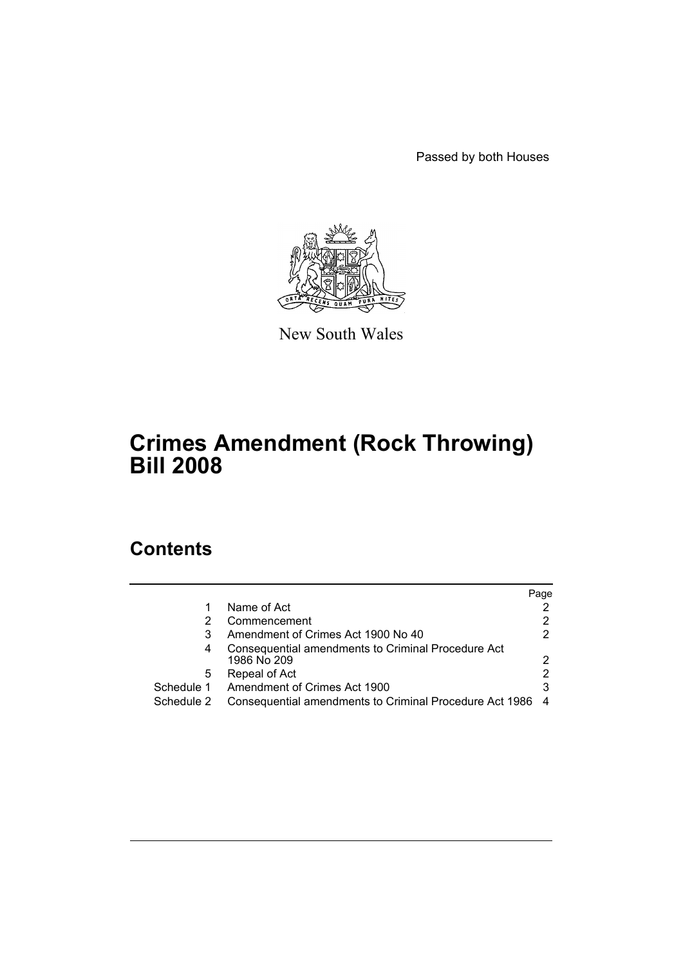Passed by both Houses



New South Wales

# **Crimes Amendment (Rock Throwing) Bill 2008**

## **Contents**

|            |                                                                   | Page |
|------------|-------------------------------------------------------------------|------|
|            | Name of Act                                                       |      |
| 2          | Commencement                                                      |      |
| 3          | Amendment of Crimes Act 1900 No 40                                |      |
| 4          | Consequential amendments to Criminal Procedure Act<br>1986 No 209 | 2    |
| 5          | Repeal of Act                                                     | 2    |
| Schedule 1 | Amendment of Crimes Act 1900                                      | 3    |
| Schedule 2 | Consequential amendments to Criminal Procedure Act 1986           |      |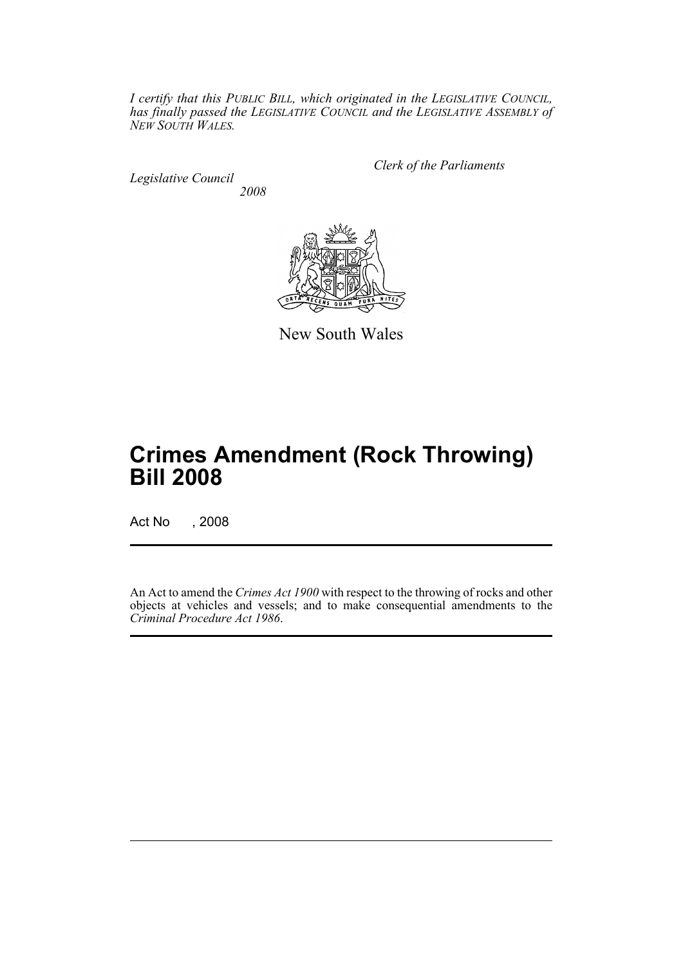*I certify that this PUBLIC BILL, which originated in the LEGISLATIVE COUNCIL, has finally passed the LEGISLATIVE COUNCIL and the LEGISLATIVE ASSEMBLY of NEW SOUTH WALES.*

*Legislative Council 2008* *Clerk of the Parliaments*



New South Wales

# **Crimes Amendment (Rock Throwing) Bill 2008**

Act No , 2008

An Act to amend the *Crimes Act 1900* with respect to the throwing of rocks and other objects at vehicles and vessels; and to make consequential amendments to the *Criminal Procedure Act 1986*.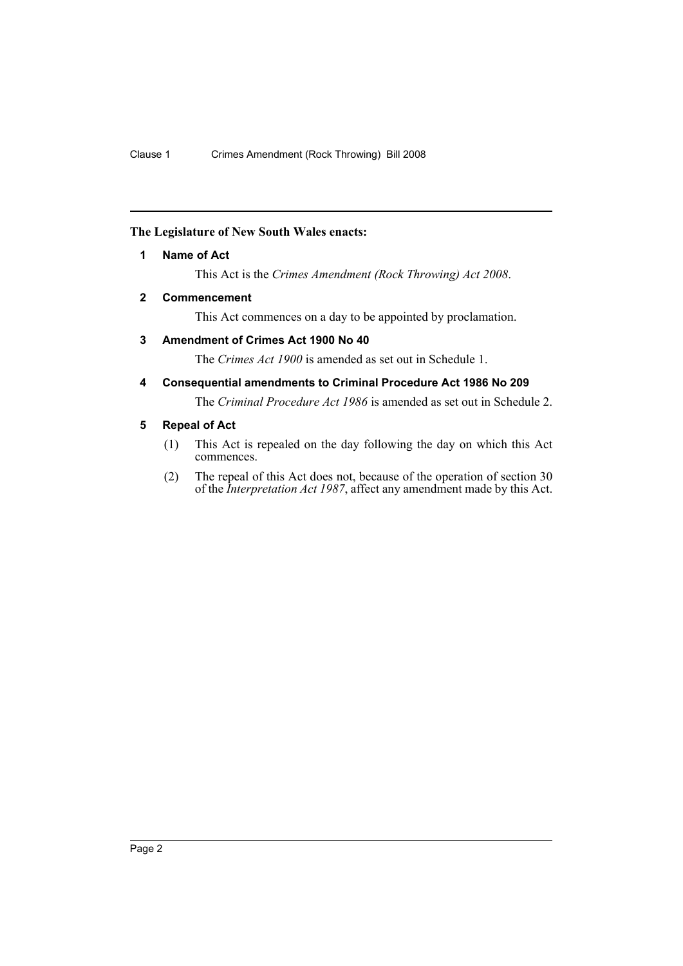#### <span id="page-2-0"></span>**The Legislature of New South Wales enacts:**

#### **1 Name of Act**

This Act is the *Crimes Amendment (Rock Throwing) Act 2008*.

#### <span id="page-2-1"></span>**2 Commencement**

This Act commences on a day to be appointed by proclamation.

#### <span id="page-2-2"></span>**3 Amendment of Crimes Act 1900 No 40**

The *Crimes Act 1900* is amended as set out in Schedule 1.

<span id="page-2-3"></span>**4 Consequential amendments to Criminal Procedure Act 1986 No 209**

The *Criminal Procedure Act 1986* is amended as set out in Schedule 2.

#### <span id="page-2-4"></span>**5 Repeal of Act**

- (1) This Act is repealed on the day following the day on which this Act commences.
- (2) The repeal of this Act does not, because of the operation of section 30 of the *Interpretation Act 1987*, affect any amendment made by this Act.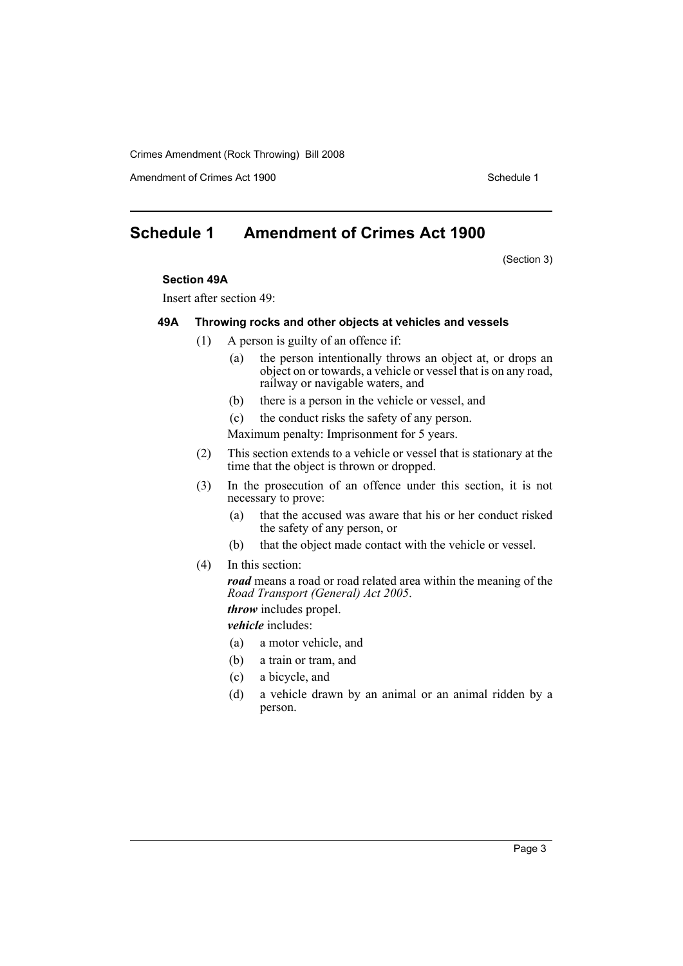Crimes Amendment (Rock Throwing) Bill 2008

Amendment of Crimes Act 1900 New York 1900 Network 1900 Schedule 1

### <span id="page-3-0"></span>**Schedule 1 Amendment of Crimes Act 1900**

(Section 3)

#### **Section 49A**

Insert after section 49:

#### **49A Throwing rocks and other objects at vehicles and vessels**

- (1) A person is guilty of an offence if:
	- (a) the person intentionally throws an object at, or drops an object on or towards, a vehicle or vessel that is on any road, railway or navigable waters, and
	- (b) there is a person in the vehicle or vessel, and

(c) the conduct risks the safety of any person. Maximum penalty: Imprisonment for 5 years.

- (2) This section extends to a vehicle or vessel that is stationary at the time that the object is thrown or dropped.
- (3) In the prosecution of an offence under this section, it is not necessary to prove:
	- (a) that the accused was aware that his or her conduct risked the safety of any person, or
	- (b) that the object made contact with the vehicle or vessel.
- (4) In this section:

*road* means a road or road related area within the meaning of the *Road Transport (General) Act 2005*.

*throw* includes propel.

*vehicle* includes:

- (a) a motor vehicle, and
- (b) a train or tram, and
- (c) a bicycle, and
- (d) a vehicle drawn by an animal or an animal ridden by a person.